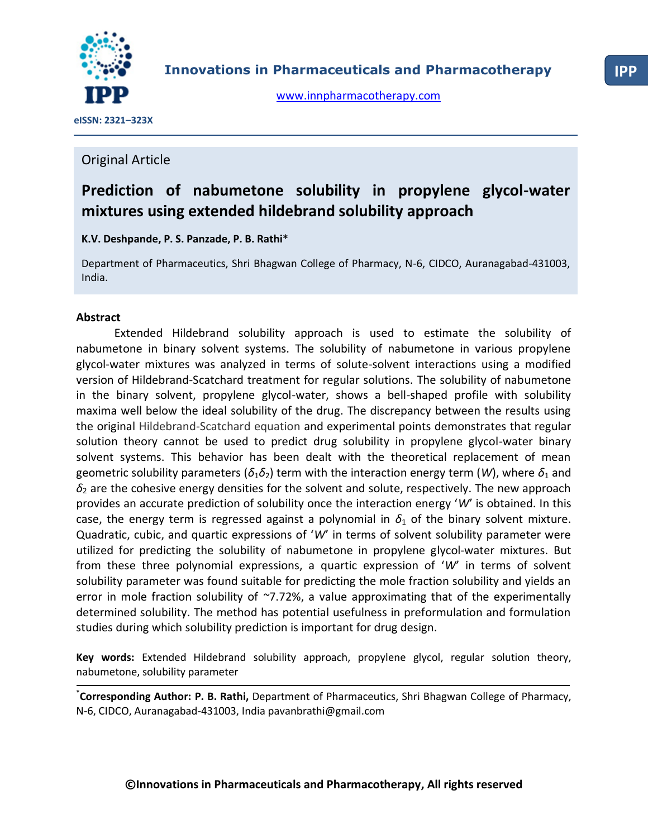

[www.innpharmacotherapy.com](http://www.innpharmacotherapy.com/)

 **eISSN: 2321–323X**

# Original Article

# **Prediction of nabumetone solubility in propylene glycol-water mixtures using extended hildebrand solubility approach**

**K.V. Deshpande, P. S. Panzade, P. B. Rathi\***

Department of Pharmaceutics, Shri Bhagwan College of Pharmacy, N-6, CIDCO, Auranagabad-431003, India.

## **Abstract**

Extended Hildebrand solubility approach is used to estimate the solubility of nabumetone in binary solvent systems. The solubility of nabumetone in various propylene glycol-water mixtures was analyzed in terms of solute-solvent interactions using a modified version of Hildebrand-Scatchard treatment for regular solutions. The solubility of nabumetone in the binary solvent, propylene glycol-water, shows a bell-shaped profile with solubility maxima well below the ideal solubility of the drug. The discrepancy between the results using the original Hildebrand-Scatchard equation and experimental points demonstrates that regular solution theory cannot be used to predict drug solubility in propylene glycol-water binary solvent systems. This behavior has been dealt with the theoretical replacement of mean geometric solubility parameters ( $\delta_1\delta_2$ ) term with the interaction energy term (*W*), where  $\delta_1$  and  $\delta_2$  are the cohesive energy densities for the solvent and solute, respectively. The new approach provides an accurate prediction of solubility once the interaction energy '*W*' is obtained. In this case, the energy term is regressed against a polynomial in  $\delta_1$  of the binary solvent mixture. Quadratic, cubic, and quartic expressions of '*W*' in terms of solvent solubility parameter were utilized for predicting the solubility of nabumetone in propylene glycol-water mixtures. But from these three polynomial expressions, a quartic expression of '*W*' in terms of solvent solubility parameter was found suitable for predicting the mole fraction solubility and yields an error in mole fraction solubility of *~*7.72%, a value approximating that of the experimentally determined solubility. The method has potential usefulness in preformulation and formulation studies during which solubility prediction is important for drug design.

**Key words:** Extended Hildebrand solubility approach, propylene glycol, regular solution theory, nabumetone, solubility parameter

**\* Corresponding Author: P. B. Rathi,** Department of Pharmaceutics, Shri Bhagwan College of Pharmacy, N-6, CIDCO, Auranagabad-431003, India pavanbrathi@gmail.com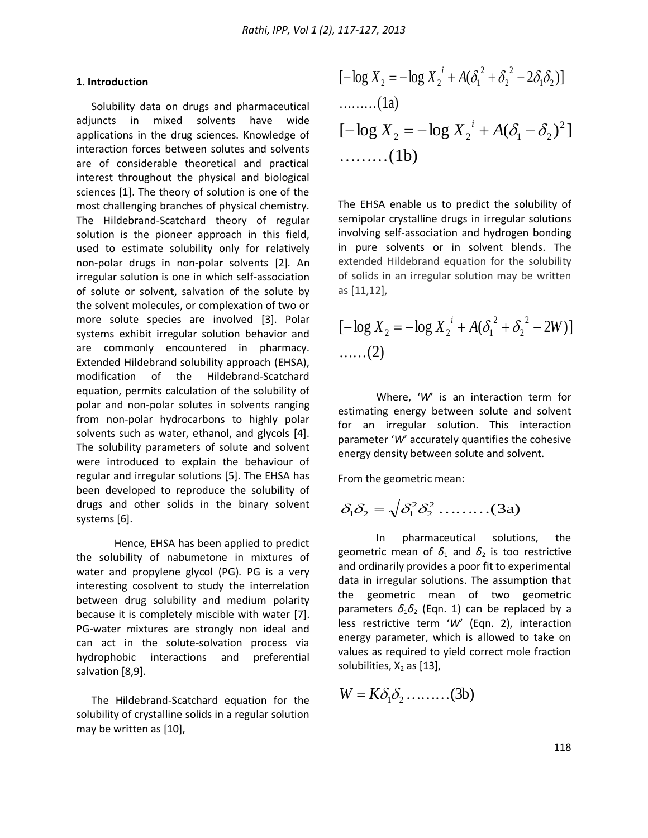#### **1. Introduction**

Solubility data on drugs and pharmaceutical adjuncts in mixed solvents have wide applications in the drug sciences. Knowledge of interaction forces between solutes and solvents are of considerable theoretical and practical interest throughout the physical and biological sciences [1]. The theory of solution is one of the most challenging branches of physical chemistry. The Hildebrand-Scatchard theory of regular solution is the pioneer approach in this field, used to estimate solubility only for relatively non-polar drugs in non-polar solvents [2]. An irregular solution is one in which self-association of solute or solvent, salvation of the solute by the solvent molecules, or complexation of two or more solute species are involved [3]. Polar systems exhibit irregular solution behavior and are commonly encountered in pharmacy. Extended Hildebrand solubility approach (EHSA), modification of the Hildebrand-Scatchard equation, permits calculation of the solubility of polar and non-polar solutes in solvents ranging from non-polar hydrocarbons to highly polar solvents such as water, ethanol, and glycols [4]. The solubility parameters of solute and solvent were introduced to explain the behaviour of regular and irregular solutions [5]. The EHSA has been developed to reproduce the solubility of drugs and other solids in the binary solvent systems [6].

Hence, EHSA has been applied to predict the solubility of nabumetone in mixtures of water and propylene glycol (PG). PG is a very interesting cosolvent to study the interrelation between drug solubility and medium polarity because it is completely miscible with water [7]. PG-water mixtures are strongly non ideal and can act in the solute-solvation process via hydrophobic interactions and preferential salvation [8,9].

The Hildebrand-Scatchard equation for the solubility of crystalline solids in a regular solution may be written as [10],

$$
[-\log X_2 = -\log X_2^i + A(\delta_1^2 + \delta_2^2 - 2\delta_1 \delta_2)]
$$
  
........(1a)  

$$
[-\log X_2 = -\log X_2^i + A(\delta_1 - \delta_2)^2]
$$
  
........(1b)

The EHSA enable us to predict the solubility of semipolar crystalline drugs in irregular solutions involving self-association and hydrogen bonding in pure solvents or in solvent blends. The extended Hildebrand equation for the solubility of solids in an irregular solution may be written as [11,12],

$$
[-\log X_2 = -\log X_2^i + A(\delta_1^2 + \delta_2^2 - 2W)]
$$
  
......(2)

Where, '*W*' is an interaction term for estimating energy between solute and solvent for an irregular solution. This interaction parameter '*W*' accurately quantifies the cohesive energy density between solute and solvent.

From the geometric mean:

$$
\delta_1 \delta_2 = \sqrt{\delta_1^2 \delta_2^2} \dots \dots \dots (3a)
$$

In pharmaceutical solutions, the geometric mean of  $\delta_1$  and  $\delta_2$  is too restrictive and ordinarily provides a poor fit to experimental data in irregular solutions. The assumption that the geometric mean of two geometric parameters  $\delta_1 \delta_2$  (Eqn. 1) can be replaced by a less restrictive term '*W*' (Eqn. 2), interaction energy parameter, which is allowed to take on values as required to yield correct mole fraction solubilities,  $X_2$  as [13],

$$
W = K \delta_1 \delta_2 \dots \dots \dots (3b)
$$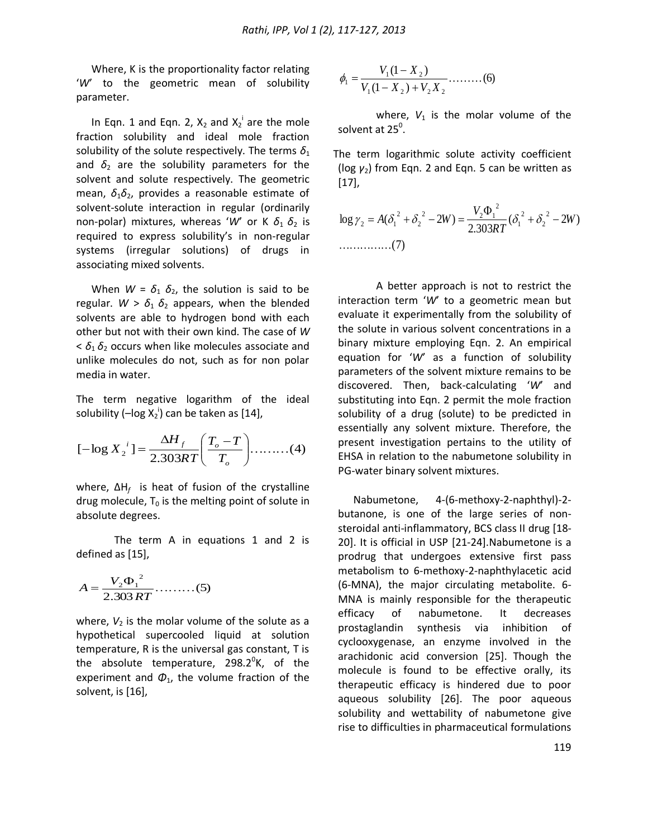Where, K is the proportionality factor relating '*W*' to the geometric mean of solubility parameter.

In Eqn. 1 and Eqn. 2,  $X_2$  and  $X_2^i$  are the mole fraction solubility and ideal mole fraction solubility of the solute respectively. The terms  $\delta_1$ and  $\delta_2$  are the solubility parameters for the solvent and solute respectively. The geometric mean,  $\delta_1 \delta_2$ , provides a reasonable estimate of solvent-solute interaction in regular (ordinarily non-polar) mixtures, whereas 'W' or K  $\delta_1$   $\delta_2$  is required to express solubility's in non-regular systems (irregular solutions) of drugs in associating mixed solvents.

When  $W = \delta_1 \delta_2$ , the solution is said to be regular.  $W > \delta_1 \delta_2$  appears, when the blended solvents are able to hydrogen bond with each other but not with their own kind. The case of *W*  $< \delta_1 \delta_2$  occurs when like molecules associate and unlike molecules do not, such as for non polar media in water.

The term negative logarithm of the ideal solubility (-log  $X_2^{\dagger}$ ) can be taken as [14],

$$
[-\log X_2^i] = \frac{\Delta H_f}{2.303RT} \left(\frac{T_o - T}{T_o}\right) \dots (4)
$$

where, ΔH<sub>f</sub> is heat of fusion of the crystalline drug molecule,  $T_0$  is the melting point of solute in absolute degrees.

The term A in equations 1 and 2 is defined as [15],

$$
A = \frac{V_2 \Phi_1^2}{2.303 RT} \dots \dots \dots (5)
$$

where,  $V_2$  is the molar volume of the solute as a hypothetical supercooled liquid at solution temperature, R is the universal gas constant, T is the absolute temperature, 298.2 $^0$ K, of the experiment and  $\Phi_1$ , the volume fraction of the solvent, is [16],

$$
\phi_1 = \frac{V_1(1 - X_2)}{V_1(1 - X_2) + V_2 X_2} \dots \dots \dots (6)
$$

where,  $V_1$  is the molar volume of the solvent at 25 $^{\circ}$ .

The term logarithmic solute activity coefficient (log *γ*2) from Eqn. 2 and Eqn. 5 can be written as [17],

$$
\log \gamma_2 = A(\delta_1^2 + \delta_2^2 - 2W) = \frac{V_2 \Phi_1^2}{2.303RT} (\delta_1^2 + \delta_2^2 - 2W)
$$
  
............(7)

A better approach is not to restrict the interaction term '*W*' to a geometric mean but evaluate it experimentally from the solubility of the solute in various solvent concentrations in a binary mixture employing Eqn. 2. An empirical equation for '*W*' as a function of solubility parameters of the solvent mixture remains to be discovered. Then, back-calculating '*W*' and substituting into Eqn. 2 permit the mole fraction solubility of a drug (solute) to be predicted in essentially any solvent mixture. Therefore, the present investigation pertains to the utility of EHSA in relation to the nabumetone solubility in PG-water binary solvent mixtures.

Nabumetone, 4-(6-methoxy-2-naphthyl)-2 butanone, is one of the large series of nonsteroidal anti-inflammatory, BCS class II drug [18- 20]. It is official in USP [21-24].Nabumetone is a prodrug that undergoes extensive first pass metabolism to 6-methoxy-2-naphthylacetic acid (6-MNA), the major circulating metabolite. 6- MNA is mainly responsible for the therapeutic efficacy of nabumetone. It decreases prostaglandin synthesis via inhibition of cyclooxygenase, an enzyme involved in the arachidonic acid conversion [25]. Though the molecule is found to be effective orally, its therapeutic efficacy is hindered due to poor aqueous solubility [26]. The poor aqueous solubility and wettability of nabumetone give rise to difficulties in pharmaceutical formulations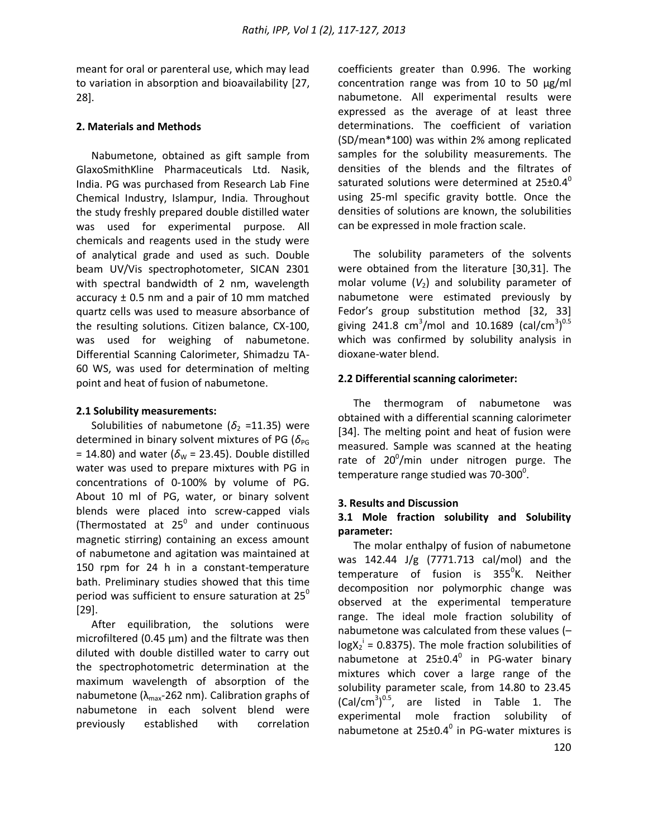meant for oral or parenteral use, which may lead to variation in absorption and bioavailability [27, 28].

#### **2. Materials and Methods**

Nabumetone, obtained as gift sample from GlaxoSmithKline Pharmaceuticals Ltd. Nasik, India. PG was purchased from Research Lab Fine Chemical Industry, Islampur, India. Throughout the study freshly prepared double distilled water was used for experimental purpose. All chemicals and reagents used in the study were of analytical grade and used as such. Double beam UV/Vis spectrophotometer, SICAN 2301 with spectral bandwidth of 2 nm, wavelength accuracy  $\pm$  0.5 nm and a pair of 10 mm matched quartz cells was used to measure absorbance of the resulting solutions. Citizen balance, CX-100, was used for weighing of nabumetone. Differential Scanning Calorimeter, Shimadzu TA-60 WS, was used for determination of melting point and heat of fusion of nabumetone.

#### **2.1 Solubility measurements:**

Solubilities of nabumetone ( $\delta_2$  =11.35) were determined in binary solvent mixtures of PG ( $\delta_{PG}$ = 14.80) and water ( $\delta_{\text{W}}$  = 23.45). Double distilled water was used to prepare mixtures with PG in concentrations of 0-100% by volume of PG. About 10 ml of PG, water, or binary solvent blends were placed into screw-capped vials (Thermostated at  $25^0$  and under continuous magnetic stirring) containing an excess amount of nabumetone and agitation was maintained at 150 rpm for 24 h in a constant-temperature bath. Preliminary studies showed that this time period was sufficient to ensure saturation at  $25^{\circ}$ [29].

After equilibration, the solutions were microfiltered (0.45  $\mu$ m) and the filtrate was then diluted with double distilled water to carry out the spectrophotometric determination at the maximum wavelength of absorption of the nabumetone ( $\lambda_{\text{max}}$ -262 nm). Calibration graphs of nabumetone in each solvent blend were previously established with correlation

coefficients greater than 0.996. The working concentration range was from 10 to 50 µg/ml nabumetone. All experimental results were expressed as the average of at least three determinations. The coefficient of variation (SD/mean\*100) was within 2% among replicated samples for the solubility measurements. The densities of the blends and the filtrates of saturated solutions were determined at  $25\pm0.4^{\circ}$ using 25-ml specific gravity bottle. Once the densities of solutions are known, the solubilities can be expressed in mole fraction scale.

The solubility parameters of the solvents were obtained from the literature [30,31]. The molar volume  $(V_2)$  and solubility parameter of nabumetone were estimated previously by Fedor's group substitution method [32, 33] giving 241.8 cm<sup>3</sup>/mol and 10.1689 (cal/cm<sup>3</sup>)<sup>0.5</sup> which was confirmed by solubility analysis in dioxane-water blend.

#### **2.2 Differential scanning calorimeter:**

The thermogram of nabumetone was obtained with a differential scanning calorimeter [34]. The melting point and heat of fusion were measured. Sample was scanned at the heating rate of 20 $^0$ /min under nitrogen purge. The temperature range studied was 70-300<sup>0</sup>.

#### **3. Results and Discussion**

#### **3.1 Mole fraction solubility and Solubility parameter:**

The molar enthalpy of fusion of nabumetone was 142.44 J/g (7771.713 cal/mol) and the temperature of fusion is 355<sup>0</sup>K. Neither decomposition nor polymorphic change was observed at the experimental temperature range. The ideal mole fraction solubility of nabumetone was calculated from these values (–  $log X_2^1 = 0.8375$ ). The mole fraction solubilities of nabumetone at  $25 \pm 0.4^\circ$  in PG-water binary mixtures which cover a large range of the solubility parameter scale, from 14.80 to 23.45  $(Cal/cm<sup>3</sup>)<sup>0.5</sup>$ , are listed in Table 1. The experimental mole fraction solubility of nabumetone at  $25 \pm 0.4^\circ$  in PG-water mixtures is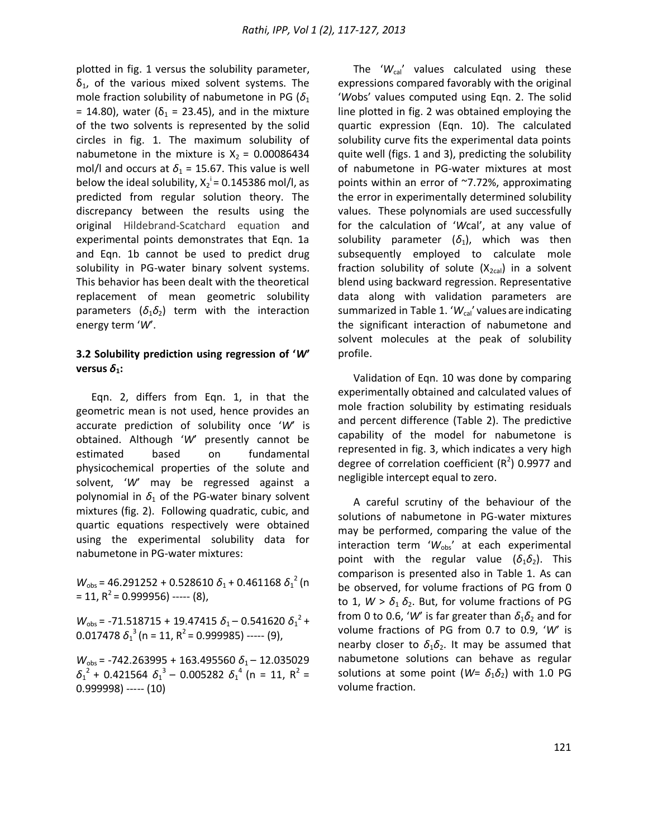plotted in fig. 1 versus the solubility parameter,  $\delta_1$ , of the various mixed solvent systems. The mole fraction solubility of nabumetone in PG ( $\delta_1$ = 14.80), water ( $\delta_1$  = 23.45), and in the mixture of the two solvents is represented by the solid circles in fig. 1. The maximum solubility of nabumetone in the mixture is  $X_2 = 0.00086434$ mol/l and occurs at  $\delta_1$  = 15.67. This value is well below the ideal solubility,  $X_2^i$  = 0.145386 mol/l, as predicted from regular solution theory. The discrepancy between the results using the original Hildebrand-Scatchard equation and experimental points demonstrates that Eqn. 1a and Eqn. 1b cannot be used to predict drug solubility in PG-water binary solvent systems. This behavior has been dealt with the theoretical replacement of mean geometric solubility parameters  $(\delta_1 \delta_2)$  term with the interaction energy term '*W*'.

#### **3.2 Solubility prediction using regression of '***W***' versus**  $\delta_1$ **:**

Eqn. 2, differs from Eqn. 1, in that the geometric mean is not used, hence provides an accurate prediction of solubility once '*W*' is obtained. Although '*W*' presently cannot be estimated based on fundamental physicochemical properties of the solute and solvent, '*W*' may be regressed against a polynomial in  $\delta_1$  of the PG-water binary solvent mixtures (fig. 2). Following quadratic, cubic, and quartic equations respectively were obtained using the experimental solubility data for nabumetone in PG-water mixtures:

 $W_{\text{obs}}$  = 46.291252 + 0.528610  $\delta_1$  + 0.461168  $\delta_1^2$  (n  $= 11, R<sup>2</sup> = 0.999956$ ) ----- (8),

 $W_{\text{obs}}$  = -71.518715 + 19.47415  $\delta_1$  – 0.541620  $\delta_1^2$  + 0.017478  $\delta_1^3$  (n = 11, R<sup>2</sup> = 0.999985) ----- (9),

*W*<sub>obs</sub> = -742.263995 + 163.495560 δ<sub>1</sub> – 12.035029  $\delta_1^2$  + 0.421564  $\delta_1^3$  – 0.005282  $\delta_1^4$  (n = 11, R<sup>2</sup> = 0.999998) ----- (10)

The ' $W_{\text{cal}}$ ' values calculated using these expressions compared favorably with the original '*W*obs' values computed using Eqn. 2. The solid line plotted in fig. 2 was obtained employing the quartic expression (Eqn. 10). The calculated solubility curve fits the experimental data points quite well (figs. 1 and 3), predicting the solubility of nabumetone in PG-water mixtures at most points within an error of ~7.72%, approximating the error in experimentally determined solubility values. These polynomials are used successfully for the calculation of '*W*cal', at any value of solubility parameter  $(\delta_1)$ , which was then subsequently employed to calculate mole fraction solubility of solute  $(X_{2cal})$  in a solvent blend using backward regression. Representative data along with validation parameters are summarized in Table 1. 'W<sub>cal</sub>' values are indicating the significant interaction of nabumetone and solvent molecules at the peak of solubility profile.

Validation of Eqn. 10 was done by comparing experimentally obtained and calculated values of mole fraction solubility by estimating residuals and percent difference (Table 2). The predictive capability of the model for nabumetone is represented in fig. 3, which indicates a very high degree of correlation coefficient  $(R^2)$  0.9977 and negligible intercept equal to zero.

A careful scrutiny of the behaviour of the solutions of nabumetone in PG-water mixtures may be performed, comparing the value of the interaction term 'W<sub>obs</sub>' at each experimental point with the regular value  $(\delta_1 \delta_2)$ . This comparison is presented also in Table 1. As can be observed, for volume fractions of PG from 0 to 1,  $W > \delta_1 \delta_2$ . But, for volume fractions of PG from 0 to 0.6, 'W' is far greater than  $\delta_1 \delta_2$  and for volume fractions of PG from 0.7 to 0.9, '*W*' is nearby closer to  $\delta_1 \delta_2$ . It may be assumed that nabumetone solutions can behave as regular solutions at some point ( $W = \delta_1 \delta_2$ ) with 1.0 PG volume fraction.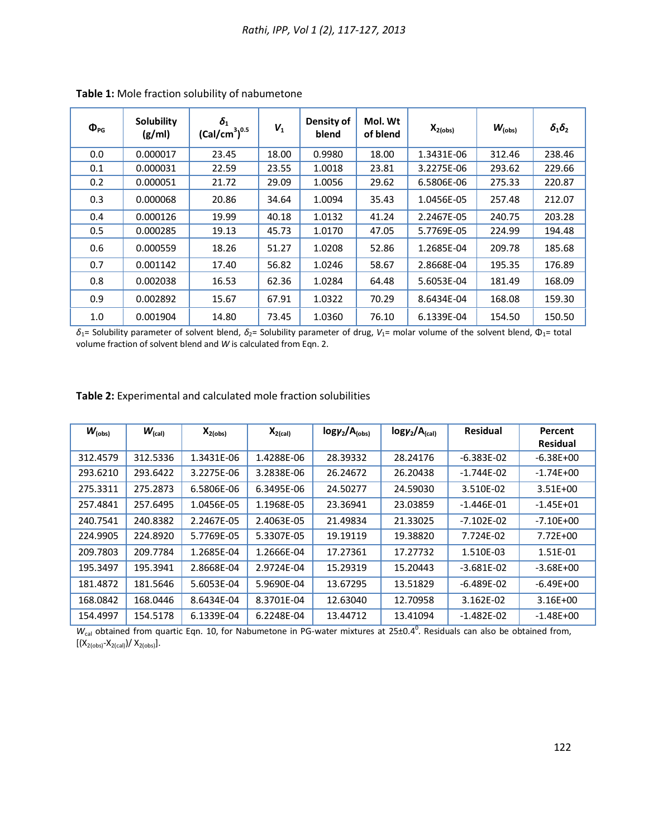| $\Phi_{PG}$ | Solubility<br>(g/ml) | $\delta_{1}$<br>(Cal/cm <sup>3</sup> ) <sup>0.5</sup> | $V_1$ | Density of<br>blend | Mol. Wt<br>of blend | $X_{2(obs)}$ | $W_{\text{(obs)}}$ | $\delta_1\delta_2$ |
|-------------|----------------------|-------------------------------------------------------|-------|---------------------|---------------------|--------------|--------------------|--------------------|
| 0.0         | 0.000017             | 23.45                                                 | 18.00 | 0.9980              | 18.00               | 1.3431E-06   | 312.46             | 238.46             |
| 0.1         | 0.000031             | 22.59                                                 | 23.55 | 1.0018              | 23.81               | 3.2275E-06   | 293.62             | 229.66             |
| 0.2         | 0.000051             | 21.72                                                 | 29.09 | 1.0056              | 29.62               | 6.5806E-06   | 275.33             | 220.87             |
| 0.3         | 0.000068             | 20.86                                                 | 34.64 | 1.0094              | 35.43               | 1.0456E-05   | 257.48             | 212.07             |
| 0.4         | 0.000126             | 19.99                                                 | 40.18 | 1.0132              | 41.24               | 2.2467E-05   | 240.75             | 203.28             |
| 0.5         | 0.000285             | 19.13                                                 | 45.73 | 1.0170              | 47.05               | 5.7769E-05   | 224.99             | 194.48             |
| 0.6         | 0.000559             | 18.26                                                 | 51.27 | 1.0208              | 52.86               | 1.2685E-04   | 209.78             | 185.68             |
| 0.7         | 0.001142             | 17.40                                                 | 56.82 | 1.0246              | 58.67               | 2.8668E-04   | 195.35             | 176.89             |
| 0.8         | 0.002038             | 16.53                                                 | 62.36 | 1.0284              | 64.48               | 5.6053E-04   | 181.49             | 168.09             |
| 0.9         | 0.002892             | 15.67                                                 | 67.91 | 1.0322              | 70.29               | 8.6434E-04   | 168.08             | 159.30             |
| 1.0         | 0.001904             | 14.80                                                 | 73.45 | 1.0360              | 76.10               | 6.1339E-04   | 154.50             | 150.50             |

**Table 1:** Mole fraction solubility of nabumetone

*δ*1= Solubility parameter of solvent blend, *δ*2= Solubility parameter of drug, *V*1= molar volume of the solvent blend, Φ1= total volume fraction of solvent blend and *W* is calculated from Eqn. 2.

#### **Table 2:** Experimental and calculated mole fraction solubilities

| $W_{\text{(obs)}}$ | $W_{\text{(cal)}}$ | $X_{2(obs)}$ | $X_{2(cal)}$ | $log\gamma_2/A_{(obs)}$ | $log\gamma_2/A_{\text{(cal)}}$ | <b>Residual</b> | Percent         |
|--------------------|--------------------|--------------|--------------|-------------------------|--------------------------------|-----------------|-----------------|
|                    |                    |              |              |                         |                                |                 | <b>Residual</b> |
| 312.4579           | 312.5336           | 1.3431E-06   | 1.4288E-06   | 28.39332                | 28.24176                       | $-6.383E-02$    | $-6.38E + 00$   |
| 293.6210           | 293.6422           | 3.2275E-06   | 3.2838E-06   | 26.24672                | 26.20438                       | $-1.744E-02$    | $-1.74E+00$     |
| 275.3311           | 275.2873           | 6.5806E-06   | 6.3495E-06   | 24.50277                | 24.59030                       | 3.510E-02       | $3.51E + 00$    |
| 257.4841           | 257.6495           | 1.0456E-05   | 1.1968E-05   | 23.36941                | 23.03859                       | $-1.446E-01$    | $-1.45E + 01$   |
| 240.7541           | 240.8382           | 2.2467E-05   | 2.4063E-05   | 21.49834                | 21.33025                       | $-7.102E - 02$  | $-7.10E + 00$   |
| 224.9905           | 224.8920           | 5.7769E-05   | 5.3307E-05   | 19.19119                | 19.38820                       | 7.724E-02       | 7.72E+00        |
| 209.7803           | 209.7784           | 1.2685E-04   | 1.2666E-04   | 17.27361                | 17.27732                       | 1.510E-03       | 1.51E-01        |
| 195.3497           | 195.3941           | 2.8668E-04   | 2.9724E-04   | 15.29319                | 15.20443                       | $-3.681E - 02$  | $-3.68E + 00$   |
| 181.4872           | 181.5646           | 5.6053E-04   | 5.9690E-04   | 13.67295                | 13.51829                       | $-6.489E - 02$  | $-6.49E+00$     |
| 168.0842           | 168.0446           | 8.6434E-04   | 8.3701E-04   | 12.63040                | 12.70958                       | 3.162E-02       | $3.16E + 00$    |
| 154.4997           | 154.5178           | 6.1339E-04   | 6.2248E-04   | 13.44712                | 13.41094                       | $-1.482E - 02$  | $-1.48E + 00$   |

 $W_{cal}$  obtained from quartic Eqn. 10, for Nabumetone in PG-water mixtures at 25±0.4<sup>0</sup>. Residuals can also be obtained from,  $[(X_{2(obs)}-X_{2(cal)})/X_{2(obs)}].$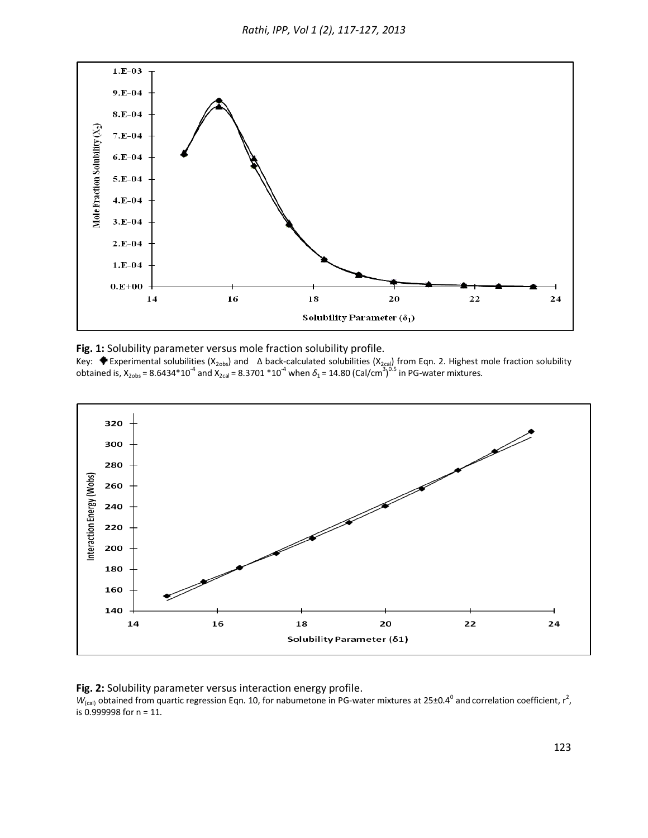

**Fig. 1:** Solubility parameter versus mole fraction solubility profile.

Key:  $\bullet$  Experimental solubilities (X<sub>2obs</sub>) and  $\,\Delta$  back-calculated solubilities (X<sub>2cal</sub>) from Eqn. 2. Highest mole fraction solubility obtained is, X<sub>2obs</sub> = 8.6434\*10<sup>-4</sup> and X<sub>2cal</sub> = 8.3701 \*10<sup>-4</sup> when δ<sub>1</sub> = 14.80 (Cal/cm<sup>3</sup>)<sup>0.5</sup> in PG-water mixtures.



**Fig. 2:** Solubility parameter versus interaction energy profile.

 $W_{\text{(cal)}}$  obtained from quartic regression Eqn. 10, for nabumetone in PG-water mixtures at 25±0.4<sup>0</sup> and correlation coefficient, r<sup>2</sup>, is 0.999998 for n = 11.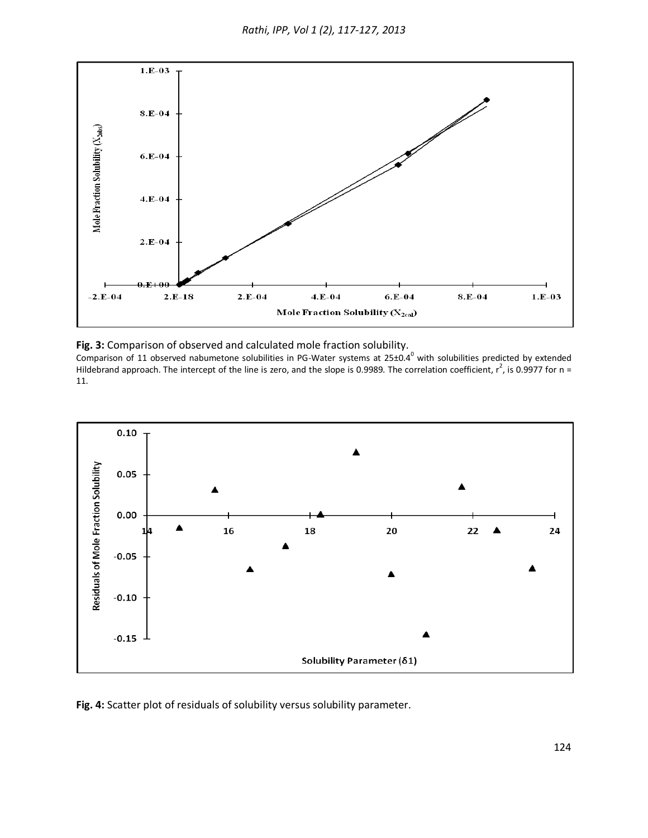

**Fig. 3:** Comparison of observed and calculated mole fraction solubility.

Comparison of 11 observed nabumetone solubilities in PG-Water systems at  $25\pm0.4^0$  with solubilities predicted by extended Hildebrand approach. The intercept of the line is zero, and the slope is 0.9989. The correlation coefficient,  $r^2$ , is 0.9977 for n = 11.



**Fig. 4:** Scatter plot of residuals of solubility versus solubility parameter.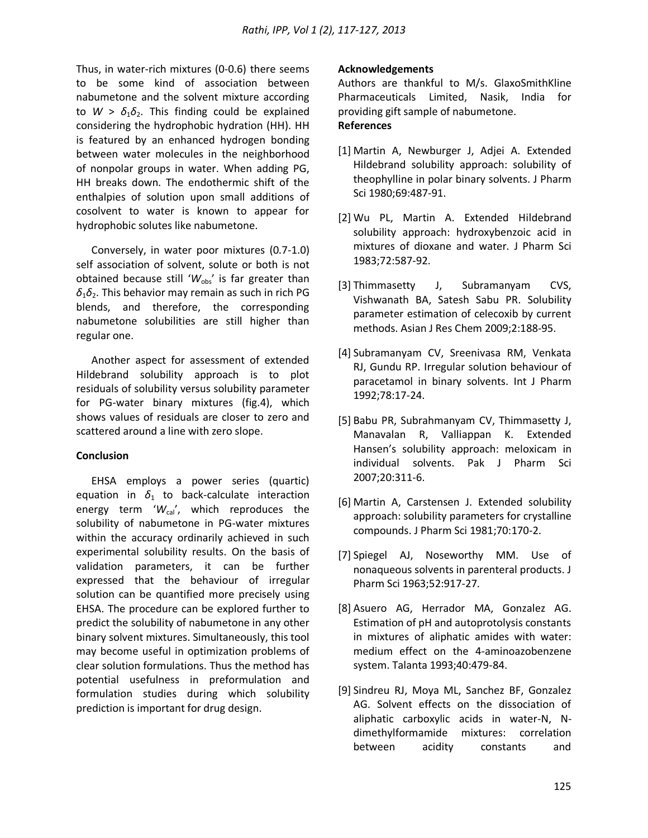Thus, in water-rich mixtures (0-0.6) there seems to be some kind of association between nabumetone and the solvent mixture according to  $W > \delta_1 \delta_2$ . This finding could be explained considering the hydrophobic hydration (HH). HH is featured by an enhanced hydrogen bonding between water molecules in the neighborhood of nonpolar groups in water. When adding PG, HH breaks down. The endothermic shift of the enthalpies of solution upon small additions of cosolvent to water is known to appear for hydrophobic solutes like nabumetone.

Conversely, in water poor mixtures (0.7-1.0) self association of solvent, solute or both is not obtained because still 'W<sub>obs</sub>' is far greater than  $\delta_1 \delta_2$ . This behavior may remain as such in rich PG blends, and therefore, the corresponding nabumetone solubilities are still higher than regular one.

Another aspect for assessment of extended Hildebrand solubility approach is to plot residuals of solubility versus solubility parameter for PG-water binary mixtures (fig.4), which shows values of residuals are closer to zero and scattered around a line with zero slope.

# **Conclusion**

EHSA employs a power series (quartic) equation in  $\delta_1$  to back-calculate interaction energy term 'W<sub>cal</sub>', which reproduces the solubility of nabumetone in PG-water mixtures within the accuracy ordinarily achieved in such experimental solubility results. On the basis of validation parameters, it can be further expressed that the behaviour of irregular solution can be quantified more precisely using EHSA. The procedure can be explored further to predict the solubility of nabumetone in any other binary solvent mixtures. Simultaneously, this tool may become useful in optimization problems of clear solution formulations. Thus the method has potential usefulness in preformulation and formulation studies during which solubility prediction is important for drug design.

## **Acknowledgements**

Authors are thankful to M/s. GlaxoSmithKline Pharmaceuticals Limited, Nasik, India for providing gift sample of nabumetone. **References**

- [1] Martin A, Newburger J, Adjei A. Extended Hildebrand solubility approach: solubility of theophylline in polar binary solvents. J Pharm Sci 1980;69:487-91.
- [2] Wu PL, Martin A. Extended Hildebrand solubility approach: hydroxybenzoic acid in mixtures of dioxane and water. J Pharm Sci 1983;72:587-92.
- [3] Thimmasetty J, Subramanyam CVS, Vishwanath BA, Satesh Sabu PR. Solubility parameter estimation of celecoxib by current methods. Asian J Res Chem 2009;2:188-95.
- [4] Subramanyam CV, Sreenivasa RM, Venkata RJ, Gundu RP. Irregular solution behaviour of paracetamol in binary solvents. Int J Pharm 1992;78:17-24.
- [5] Babu PR, Subrahmanyam CV, Thimmasetty J, Manavalan R, Valliappan K. Extended Hansen's solubility approach: meloxicam in individual solvents. Pak J Pharm Sci 2007;20:311-6.
- [6] Martin A, Carstensen J. Extended solubility approach: solubility parameters for crystalline compounds. J Pharm Sci 1981;70:170-2.
- [7] Spiegel AJ, Noseworthy MM. Use of nonaqueous solvents in parenteral products. J Pharm Sci 1963;52:917-27.
- [8] Asuero AG, Herrador MA, Gonzalez AG. Estimation of pH and autoprotolysis constants in mixtures of aliphatic amides with water: medium effect on the 4-aminoazobenzene system. Talanta 1993;40:479-84.
- [9] Sindreu RJ, Moya ML, Sanchez BF, Gonzalez AG. Solvent effects on the dissociation of aliphatic carboxylic acids in water-N, Ndimethylformamide mixtures: correlation between acidity constants and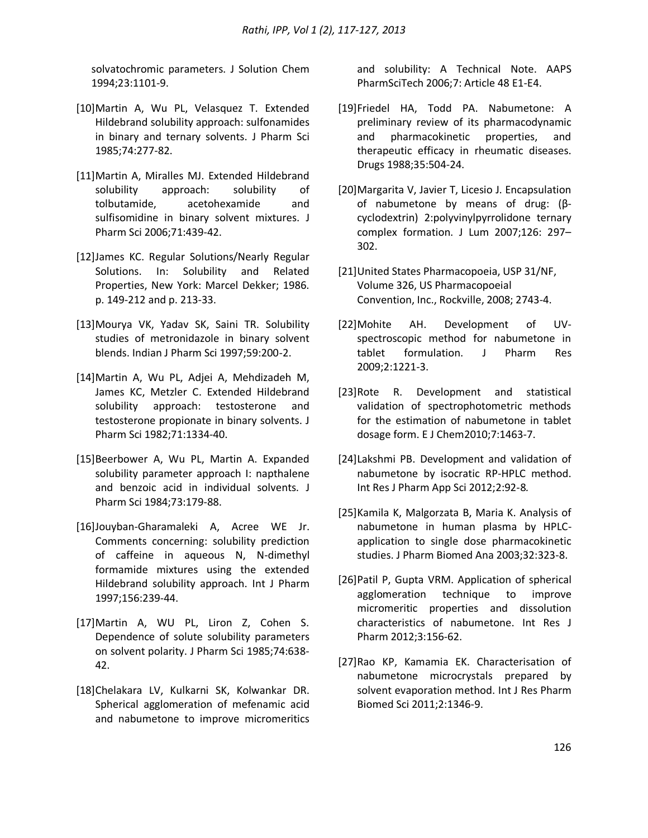solvatochromic parameters. J Solution Chem 1994;23:1101-9.

- [10]Martin A, Wu PL, Velasquez T. Extended Hildebrand solubility approach: sulfonamides in binary and ternary solvents. J Pharm Sci 1985;74:277-82.
- [11]Martin A, Miralles MJ. Extended Hildebrand solubility approach: solubility of tolbutamide, acetohexamide and sulfisomidine in binary solvent mixtures. J Pharm Sci 2006;71:439-42.
- [12]James KC. Regular Solutions/Nearly Regular Solutions. In: Solubility and Related Properties, New York: Marcel Dekker; 1986. p. 149-212 and p. 213-33.
- [13]Mourya VK, Yadav SK, Saini TR. Solubility studies of metronidazole in binary solvent blends. Indian J Pharm Sci 1997;59:200-2.
- [14]Martin A, Wu PL, Adjei A, Mehdizadeh M, James KC, Metzler C. Extended Hildebrand solubility approach: testosterone and testosterone propionate in binary solvents. J Pharm Sci 1982;71:1334-40.
- [15]Beerbower A, Wu PL, Martin A. Expanded solubility parameter approach I: napthalene and benzoic acid in individual solvents. J Pharm Sci 1984;73:179-88.
- [16]Jouyban-Gharamaleki A, Acree WE Jr. Comments concerning: solubility prediction of caffeine in aqueous N, N-dimethyl formamide mixtures using the extended Hildebrand solubility approach. Int J Pharm 1997;156:239-44.
- [17]Martin A, WU PL, Liron Z, Cohen S. Dependence of solute solubility parameters on solvent polarity. J Pharm Sci 1985;74:638- 42.
- [18]Chelakara LV, Kulkarni SK, Kolwankar DR. Spherical agglomeration of mefenamic acid and nabumetone to improve micromeritics

and solubility: A Technical Note. AAPS PharmSciTech 2006;7: Article 48 E1-E4.

- [19]Friedel HA, Todd PA. Nabumetone: A preliminary review of its pharmacodynamic and pharmacokinetic properties, and therapeutic efficacy in rheumatic diseases. Drugs 1988;35:504-24.
- [20]Margarita V, Javier T, Licesio J. Encapsulation of nabumetone by means of drug: (βcyclodextrin) 2:polyvinylpyrrolidone ternary complex formation. J Lum 2007;126: 297– 302.
- [21]United States Pharmacopoeia, USP 31/NF, Volume 326, US Pharmacopoeial Convention, Inc., Rockville, 2008; 2743-4.
- [22]Mohite AH. Development of UVspectroscopic method for nabumetone in tablet formulation. J Pharm Res 2009;2:1221-3.
- [23]Rote R. Development and statistical validation of spectrophotometric methods for the estimation of nabumetone in tablet dosage form. E J Chem2010;7:1463-7.
- [24]Lakshmi PB. Development and validation of nabumetone by isocratic RP-HPLC method. Int Res J Pharm App Sci 2012;2:92-8*.*
- [25]Kamila K, Malgorzata B, Maria K. Analysis of nabumetone in human plasma by HPLCapplication to single dose pharmacokinetic studies. J Pharm Biomed Ana 2003;32:323-8.
- [26]Patil P, Gupta VRM. Application of spherical agglomeration technique to improve micromeritic properties and dissolution characteristics of nabumetone. Int Res J Pharm 2012;3:156-62.
- [27]Rao KP, Kamamia EK. Characterisation of nabumetone microcrystals prepared by solvent evaporation method. Int J Res Pharm Biomed Sci 2011;2:1346-9.